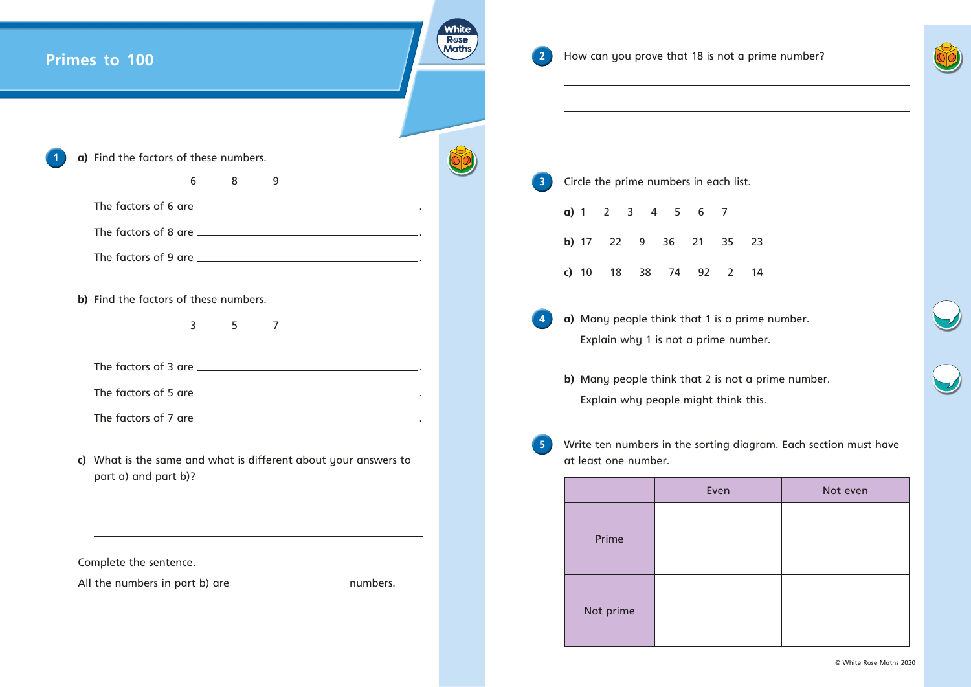| Primes to 100 |                                                                                                                       | White<br>Rose<br>Maths |                | How can you prove that 18 is not a pri<br>the control of the control of the control of the control of the control of the control of |                                                                                                                       |  |  |
|---------------|-----------------------------------------------------------------------------------------------------------------------|------------------------|----------------|-------------------------------------------------------------------------------------------------------------------------------------|-----------------------------------------------------------------------------------------------------------------------|--|--|
|               | a) Find the factors of these numbers.                                                                                 |                        |                |                                                                                                                                     | <u> 1989 - Johann Barbara, martin amerikan basal dan berasal dan berasal dalam basal dalam basal dalam basal dala</u> |  |  |
|               | 6<br>8<br>9                                                                                                           |                        | $\overline{3}$ |                                                                                                                                     | Circle the prime numbers in each list.                                                                                |  |  |
|               |                                                                                                                       |                        |                | a) 1 2 3 4 5 6 7                                                                                                                    |                                                                                                                       |  |  |
|               |                                                                                                                       |                        |                |                                                                                                                                     | b) 17 22 9 36 21 35 23                                                                                                |  |  |
|               |                                                                                                                       |                        |                |                                                                                                                                     | c) 10 18 38 74 92 2 14                                                                                                |  |  |
|               | b) Find the factors of these numbers.                                                                                 |                        |                |                                                                                                                                     |                                                                                                                       |  |  |
|               | 3 <sup>7</sup><br>5<br>$\overline{7}$                                                                                 |                        |                |                                                                                                                                     | a) Many people think that 1 is a prime<br>Explain why 1 is not a prime numbe                                          |  |  |
|               |                                                                                                                       |                        |                |                                                                                                                                     |                                                                                                                       |  |  |
|               |                                                                                                                       |                        |                |                                                                                                                                     | b) Many people think that 2 is not a p                                                                                |  |  |
|               |                                                                                                                       |                        |                |                                                                                                                                     | Explain why people might think this                                                                                   |  |  |
|               | c) What is the same and what is different about your answers to                                                       |                        | 5 <sub>1</sub> | Write ten numbers in the sorting diagro<br>at least one number.                                                                     |                                                                                                                       |  |  |
|               | part a) and part b)?                                                                                                  |                        |                |                                                                                                                                     | Even                                                                                                                  |  |  |
|               |                                                                                                                       |                        |                |                                                                                                                                     |                                                                                                                       |  |  |
|               | <u> 1989 - Johann Stoff, deutscher Stoff, der Stoff, der Stoff, der Stoff, der Stoff, der Stoff, der Stoff, der S</u> |                        |                | Prime                                                                                                                               |                                                                                                                       |  |  |
|               | Complete the sentence.                                                                                                |                        |                |                                                                                                                                     |                                                                                                                       |  |  |
|               |                                                                                                                       |                        |                | Not prime                                                                                                                           |                                                                                                                       |  |  |

**prime number.** 

umber.

bt a prime number.  $ik$  this.

## $\frac{1}{2}$  diagram. Each section must have

| Even | Not even |  |  |  |
|------|----------|--|--|--|
|      |          |  |  |  |
|      |          |  |  |  |
|      |          |  |  |  |
|      |          |  |  |  |
|      |          |  |  |  |
|      |          |  |  |  |

© White Rose Maths 2020